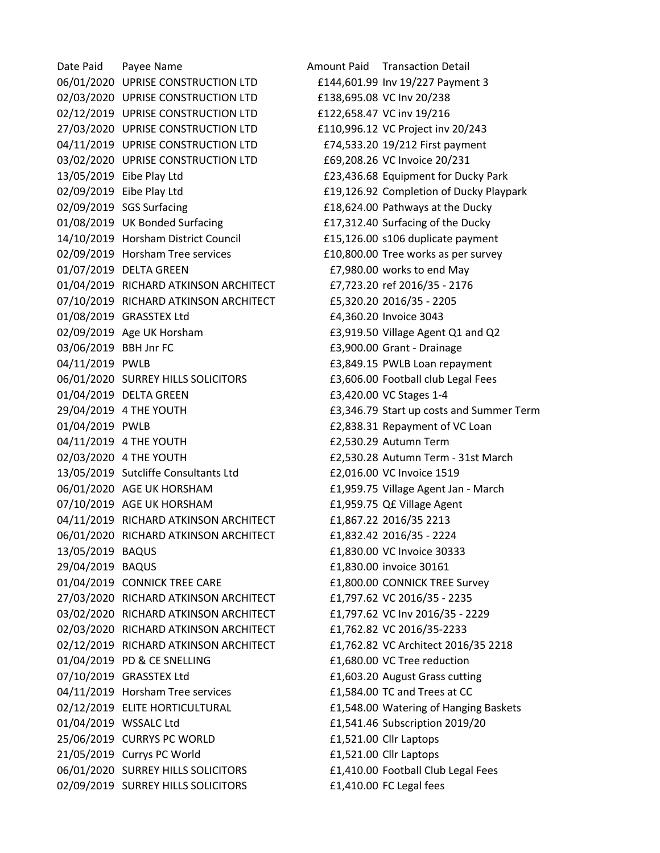Date Paid Payee Name Amount Paid Transaction Detail 06/01/2020 UPRISE CONSTRUCTION LTD £144,601.99 Inv 19/227 Payment 3 02/03/2020 UPRISE CONSTRUCTION LTD £138,695.08 VC Inv 20/238 02/12/2019 UPRISE CONSTRUCTION LTD £122,658.47 VC inv 19/216 27/03/2020 UPRISE CONSTRUCTION LTD £110,996.12 VC Project inv 20/243 04/11/2019 UPRISE CONSTRUCTION LTD £74,533.20 19/212 First payment 03/02/2020 UPRISE CONSTRUCTION LTD £69,208.26 VC Invoice 20/231 13/05/2019 Eibe Play Ltd £23,436.68 Equipment for Ducky Park 02/09/2019 Eibe Play Ltd **E19,126.92** Completion of Ducky Playpark 02/09/2019 SGS Surfacing **E18,624.00** Pathways at the Ducky 01/08/2019 UK Bonded Surfacing £17,312.40 Surfacing of the Ducky 14/10/2019 Horsham District Council £15,126.00 s106 duplicate payment 02/09/2019 Horsham Tree services **E10,800.00** Tree works as per survey 01/07/2019 DELTA GREEN £7,980.00 works to end May 01/04/2019 RICHARD ATKINSON ARCHITECT £7,723.20 ref 2016/35 - 2176 07/10/2019 RICHARD ATKINSON ARCHITECT £5,320.20 2016/35 - 2205 01/08/2019 GRASSTEX Ltd £4,360.20 Invoice 3043 02/09/2019 Age UK Horsham £3,919.50 Village Agent Q1 and Q2 03/06/2019 BBH Jnr FC £3,900.00 Grant - Drainage 04/11/2019 PWLB **E3,849.15 PWLB Loan repayment** 06/01/2020 SURREY HILLS SOLICITORS **E3,606.00 Football club Legal Fees** 01/04/2019 DELTA GREEN **E3,420.00 VC Stages 1-4** 29/04/2019 4 THE YOUTH £3,346.79 Start up costs and Summer Term 01/04/2019 PWLB £2,838.31 Repayment of VC Loan 04/11/2019 4 THE YOUTH £2,530.29 Autumn Term 02/03/2020 4 THE YOUTH £2,530.28 Autumn Term - 31st March 13/05/2019 Sutcliffe Consultants Ltd £2,016.00 VC Invoice 1519 06/01/2020 AGE UK HORSHAM £1,959.75 Village Agent Jan - March 07/10/2019 AGE UK HORSHAM £1,959.75 Q£ Village Agent 04/11/2019 RICHARD ATKINSON ARCHITECT £1,867.22 2016/35 2213 06/01/2020 RICHARD ATKINSON ARCHITECT £1,832.42 2016/35 - 2224 13/05/2019 BAQUS £1,830.00 VC Invoice 30333 29/04/2019 BAQUS £1,830.00 invoice 30161 01/04/2019 CONNICK TREE CARE **E1,800.00 CONNICK TREE Survey** 27/03/2020 RICHARD ATKINSON ARCHITECT £1,797.62 VC 2016/35 - 2235 03/02/2020 RICHARD ATKINSON ARCHITECT £1,797.62 VC Inv 2016/35 - 2229 02/03/2020 RICHARD ATKINSON ARCHITECT £1,762.82 VC 2016/35-2233 02/12/2019 RICHARD ATKINSON ARCHITECT £1,762.82 VC Architect 2016/35 2218 01/04/2019 PD & CE SNELLING **E1,680.00 VC Tree reduction** 07/10/2019 GRASSTEX Ltd **E1,603.20** August Grass cutting 04/11/2019 Horsham Tree services **E1,584.00 TC and Trees at CC** 02/12/2019 ELITE HORTICULTURAL **E1,548.00 Watering of Hanging Baskets** 01/04/2019 WSSALC Ltd £1,541.46 Subscription 2019/20 25/06/2019 CURRYS PC WORLD **E1,521.00 Cllr Laptops** 21/05/2019 Currys PC World £1,521.00 Cllr Laptops 06/01/2020 SURREY HILLS SOLICITORS **E1,410.00 Football Club Legal Fees** 02/09/2019 SURREY HILLS SOLICITORS E1,410.00 FC Legal fees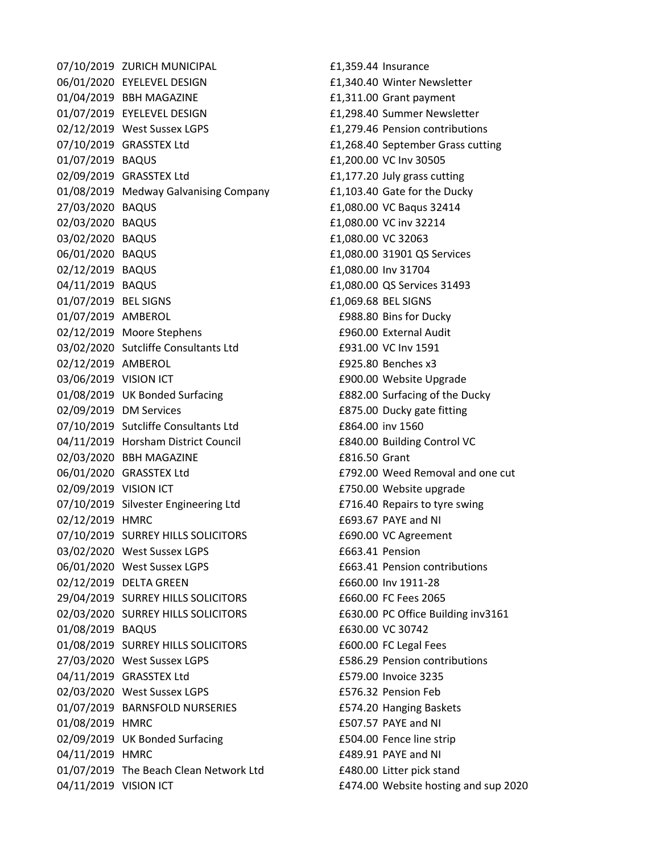07/10/2019 ZURICH MUNICIPAL E1,359.44 Insurance 06/01/2020 EYELEVEL DESIGN £1,340.40 Winter Newsletter 01/04/2019 BBH MAGAZINE **E1,311.00** Grant payment 01/07/2019 EYELEVEL DESIGN £1,298.40 Summer Newsletter 02/12/2019 West Sussex LGPS **E1,279.46 Pension contributions** 07/10/2019 GRASSTEX Ltd **E1,268.40** September Grass cutting 01/07/2019 BAQUS **£1,200.00 VC Inv 30505**  $02/09/2019$  GRASSTEX Ltd  $f1,177.20$  July grass cutting 01/08/2019 Medway Galvanising Company £1,103.40 Gate for the Ducky 27/03/2020 BAQUS £1,080.00 VC Baqus 32414 02/03/2020 BAQUS £1,080.00 VC inv 32214 03/02/2020 BAQUS **2006 1207 12080.00 E1.080.00** VC 32063 06/01/2020 BAQUS £1,080.00 31901 QS Services 02/12/2019 BAQUS 6.1,080.00 Inv 31704 04/11/2019 BAQUS 6 1.080.00 QS Services 31493 01/07/2019 BEL SIGNS **ELECTE ELECTE ELECTE ELECTE ELECTE ELECTE ELECTE ELECTE ELECTE ELECTE ELECTE ELECTE ELECTE** 01/07/2019 AMBEROL **2008 E988.80 Bins for Ducky** 02/12/2019 Moore Stephens **1960.00 ESS** 6960.00 External Audit 03/02/2020 Sutcliffe Consultants Ltd **E931.00 VC Inv 1591** 02/12/2019 AMBEROL £925.80 Benches x3 03/06/2019 VISION ICT £900.00 Website Upgrade 01/08/2019 UK Bonded Surfacing **E882.00** Surfacing of the Ducky 02/09/2019 DM Services **1988** 2010 12:300 Ducky gate fitting 07/10/2019 Sutcliffe Consultants Ltd E864.00 inv 1560 04/11/2019 Horsham District Council £840.00 Building Control VC 02/03/2020 BBH MAGAZINE £816.50 Grant 06/01/2020 GRASSTEX Ltd £792.00 Weed Removal and one cut 02/09/2019 VISION ICT **E750.00** Website upgrade 07/10/2019 Silvester Engineering Ltd **E716.40 Repairs to tyre swing** 02/12/2019 HMRC £693.67 PAYE and NI 07/10/2019 SURREY HILLS SOLICITORS 60000 E690.00 VC Agreement 03/02/2020 West Sussex LGPS **EG63.41 Pension** 06/01/2020 West Sussex LGPS **E**663.41 Pension contributions 02/12/2019 DELTA GREEN  $60.00 \text{ Inv } 1911-28$ 29/04/2019 SURREY HILLS SOLICITORS **120000 FC Fees 2065** 02/03/2020 SURREY HILLS SOLICITORS **E630.00 PC Office Building inv3161** 01/08/2019 BAQUS **E630.00 VC 30742** 01/08/2019 SURREY HILLS SOLICITORS 600.00 FC Legal Fees 27/03/2020 West Sussex LGPS £586.29 Pension contributions 04/11/2019 GRASSTEX Ltd £579.00 Invoice 3235 02/03/2020 West Sussex LGPS **E576.32 Pension Feb** 01/07/2019 BARNSFOLD NURSERIES **E574.20 Hanging Baskets** 01/08/2019 HMRC £507.57 PAYE and NI 02/09/2019 UK Bonded Surfacing **E504.00** Fence line strip 04/11/2019 HMRC £489.91 PAYE and NI 01/07/2019 The Beach Clean Network Ltd **E480.00 Litter pick stand** 04/11/2019 VISION ICT £474.00 Website hosting and sup 2020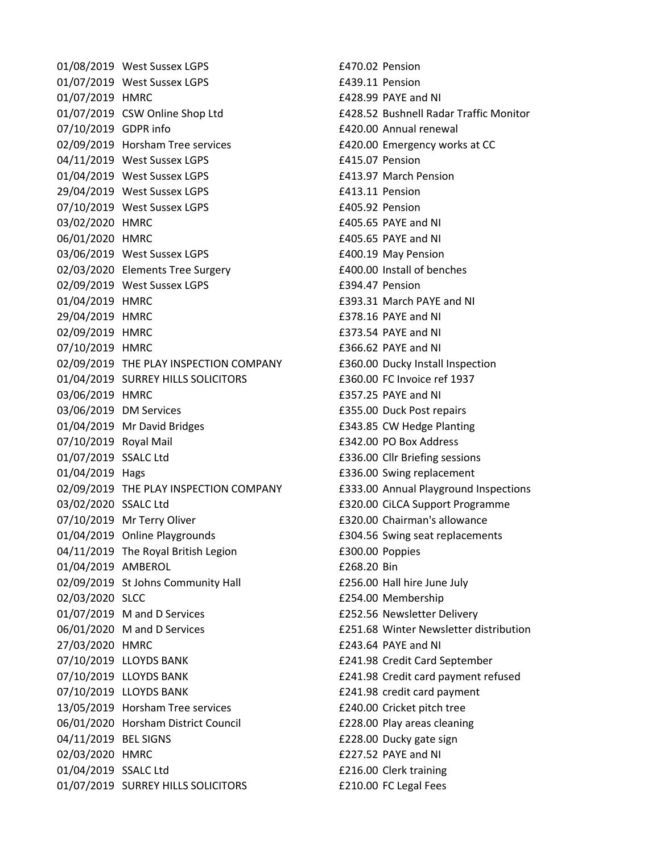01/08/2019 West Sussex LGPS **E470.02 Pension** 01/07/2019 West Sussex LGPS **E439.11 Pension** 01/07/2019 HMRC £428.99 PAYE and NI 01/07/2019 CSW Online Shop Ltd £428.52 Bushnell Radar Traffic Monitor 07/10/2019 GDPR info **E420.00** Annual renewal 02/09/2019 Horsham Tree services **E420.00** Emergency works at CC 04/11/2019 West Sussex LGPS **E415.07 Pension** 01/04/2019 West Sussex LGPS **EXAM** E413.97 March Pension 29/04/2019 West Sussex LGPS £413.11 Pension 07/10/2019 West Sussex LGPS **E405.92 Pension** 03/02/2020 HMRC £405.65 PAYE and NI 06/01/2020 HMRC £405.65 PAYE and NI 03/06/2019 West Sussex LGPS **E400.19 May Pension** 02/03/2020 Elements Tree Surgery £400.00 Install of benches 02/09/2019 West Sussex LGPS **E394.47 Pension** 01/04/2019 HMRC £393.31 March PAYE and NI 29/04/2019 HMRC £378.16 PAYE and NI 02/09/2019 HMRC £373.54 PAYE and NI 07/10/2019 HMRC £366.62 PAYE and NI 02/09/2019 THE PLAY INSPECTION COMPANY £360.00 Ducky Install Inspection 01/04/2019 SURREY HILLS SOLICITORS £360.00 FC Invoice ref 1937 03/06/2019 HMRC £357.25 PAYE and NI 03/06/2019 DM Services **1986** 2010 1255.00 Duck Post repairs 01/04/2019 Mr David Bridges £343.85 CW Hedge Planting 07/10/2019 Royal Mail £342.00 PO Box Address 01/07/2019 SSALC Ltd **E336.00 Cllr Briefing sessions** 01/04/2019 Hags £336.00 Swing replacement 02/09/2019 THE PLAY INSPECTION COMPANY £333.00 Annual Playground Inspections 03/02/2020 SSALC Ltd **E320.00 CILCA Support Programme** 07/10/2019 Mr Terry Oliver **E320.00** Chairman's allowance 01/04/2019 Online Playgrounds £304.56 Swing seat replacements 04/11/2019 The Royal British Legion **E300.00** Poppies 01/04/2019 AMBEROL **£268.20 Bin** 02/09/2019 St Johns Community Hall £256.00 Hall hire June July 02/03/2020 SLCC 6254.00 Membership 01/07/2019 M and D Services £252.56 Newsletter Delivery 06/01/2020 M and D Services £251.68 Winter Newsletter distribution 27/03/2020 HMRC £243.64 PAYE and NI 07/10/2019 LLOYDS BANK £241.98 Credit Card September 07/10/2019 LLOYDS BANK **E241.98** Credit card payment refused 07/10/2019 LLOYDS BANK **E241.98** credit card payment 13/05/2019 Horsham Tree services £240.00 Cricket pitch tree 06/01/2020 Horsham District Council <br>
E228.00 Play areas cleaning 04/11/2019 BEL SIGNS **EXAMPLE 228.00 Ducky gate sign** 02/03/2020 HMRC £227.52 PAYE and NI 01/04/2019 SSALC Ltd **E216.00** Clerk training 01/07/2019 SURREY HILLS SOLICITORS £210.00 FC Legal Fees